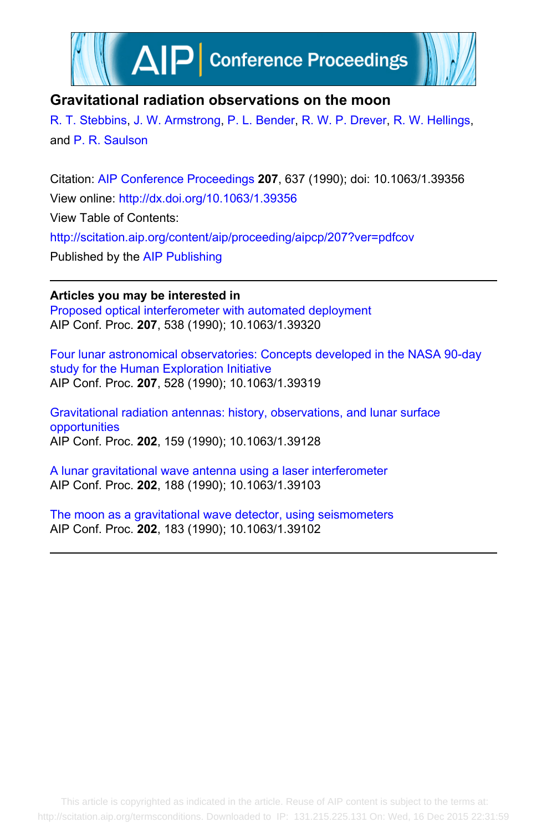



# **Gravitational radiation observations on the moon**

[R. T. Stebbins](http://scitation.aip.org/search?value1=R.+T.+Stebbins&option1=author), [J. W. Armstrong,](http://scitation.aip.org/search?value1=J.+W.+Armstrong&option1=author) [P. L. Bender,](http://scitation.aip.org/search?value1=P.+L.+Bender&option1=author) [R. W. P. Drever](http://scitation.aip.org/search?value1=R.+W.+P.+Drever&option1=author), [R. W. Hellings,](http://scitation.aip.org/search?value1=R.+W.+Hellings&option1=author) and [P. R. Saulson](http://scitation.aip.org/search?value1=P.+R.+Saulson&option1=author)

Citation: [AIP Conference Proceedings](http://scitation.aip.org/content/aip/proceeding/aipcp?ver=pdfcov) **207**, 637 (1990); doi: 10.1063/1.39356 View online: <http://dx.doi.org/10.1063/1.39356> View Table of Contents: <http://scitation.aip.org/content/aip/proceeding/aipcp/207?ver=pdfcov> Published by the [AIP Publishing](http://scitation.aip.org/content/aip?ver=pdfcov)

**Articles you may be interested in** [Proposed optical interferometer with automated deployment](http://scitation.aip.org/content/aip/proceeding/aipcp/10.1063/1.39320?ver=pdfcov) AIP Conf. Proc. **207**, 538 (1990); 10.1063/1.39320

[Four lunar astronomical observatories: Concepts developed in the NASA 90‐day](http://scitation.aip.org/content/aip/proceeding/aipcp/10.1063/1.39319?ver=pdfcov) [study for the Human Exploration Initiative](http://scitation.aip.org/content/aip/proceeding/aipcp/10.1063/1.39319?ver=pdfcov) AIP Conf. Proc. **207**, 528 (1990); 10.1063/1.39319

[Gravitational radiation antennas: history, observations, and lunar surface](http://scitation.aip.org/content/aip/proceeding/aipcp/10.1063/1.39128?ver=pdfcov) [opportunities](http://scitation.aip.org/content/aip/proceeding/aipcp/10.1063/1.39128?ver=pdfcov) AIP Conf. Proc. **202**, 159 (1990); 10.1063/1.39128

[A lunar gravitational wave antenna using a laser interferometer](http://scitation.aip.org/content/aip/proceeding/aipcp/10.1063/1.39103?ver=pdfcov) AIP Conf. Proc. **202**, 188 (1990); 10.1063/1.39103

[The moon as a gravitational wave detector, using seismometers](http://scitation.aip.org/content/aip/proceeding/aipcp/10.1063/1.39102?ver=pdfcov) AIP Conf. Proc. **202**, 183 (1990); 10.1063/1.39102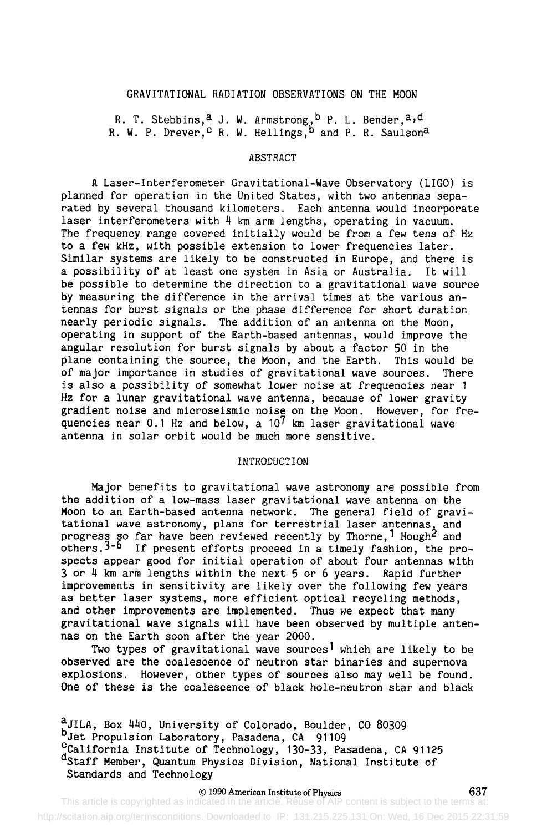#### GRAVITATIONAL RADIATION OBSERVATIONS ON THE MOON

R. T. Stebbins, a J. W. Armstrong, b P. L. Bender, a, d R. W. P. Drever,  $c$  R. W. Hellings,  $b$  and P. R. Saulson<sup>a</sup>

#### ABSTRACT

A Laser-lnterferometer Gravitational-Wave Observatory (LIGO) is planned for operation in the United States, with two antennas separated by several thousand kilometers. Each antenna would incorporate laser interferometers with 4 km arm lengths, operating in vacuum. The frequency range covered initially would be from a few tens of Hz to a few kHz, with possible extension to lower frequencies later. Similar systems are likely to be constructed in Europe, and there is a possibility of at least one system in Asia or Australia. It will be possible to determine the direction to a gravitational wave source by measuring the difference in the arrival times at the various antennas for burst signals or the phase difference for short duration nearly periodic signals. The addition of an antenna on the Moon, operating in support of the Earth-based antennas, would improve the angular resolution for burst signals by about a factor 50 in the plane containing the source, the Moon, and the Earth. This would be of major importance in studies of gravitational wave sources. There is also a possibility of somewhat lower noise at frequencies near I Hz for a lunar gravitational wave antenna, because of lower gravity gradient noise and microseismic noise on the Moon. However, for frequencies near 0.1 Hz and below, a  $10<sup>7</sup>$  km laser gravitational wave antenna in solar orbit would be much more sensitive.

#### INTRODUCTION

Major benefits to gravitational wave astronomy are possible from the addition of a low-mass laser gravitational wave antenna on the Moon to an Earth-based antenna network. The general field of gravitational wave astronomy, plans for terrestrial laser antennas, and progress so far have been reviewed recently by Thorne,  $1$  Hough<sup>2</sup> and others.3-6 If present efforts proceed in a timely fashion, the prospects appear good for initial operation of about four antennas with 3 or 4 km arm lengths within the next 5 or 6 years. Rapid further improvements in sensitivity are likely over the following few years as better laser systems, more efficient optical recycling methods, and other improvements are implemented. Thus we expect that many gravitational wave signals will have been observed by multiple antennas on the Earth soon after the year 2000.

Two types of gravitational wave sources<sup>1</sup> which are likely to be observed are the coalescence of neutron star binaries and supernova explosions. However, other types of sources also may well be found. One of these is the coalescence of black hole-neutron star and black

ajILA, Box 440, University of Colorado, Boulder, CO 80309 bjet Propulsion Laboratory, Pasadena, CA 91109 CCalifornia Institute of Technology, 130-33, Pasadena, CA 91125 <sup>d</sup>Staff Member, Quantum Physics Division, National Institute of Standards and Technology

© 199o American Institute of Physics 637

 This article is copyrighted as indicated in the article. Reuse of AIP content is subject to the terms at: http://scitation.aip.org/termsconditions. Downloaded to IP: 131.215.225.131 On: Wed, 16 Dec 2015 22:31:59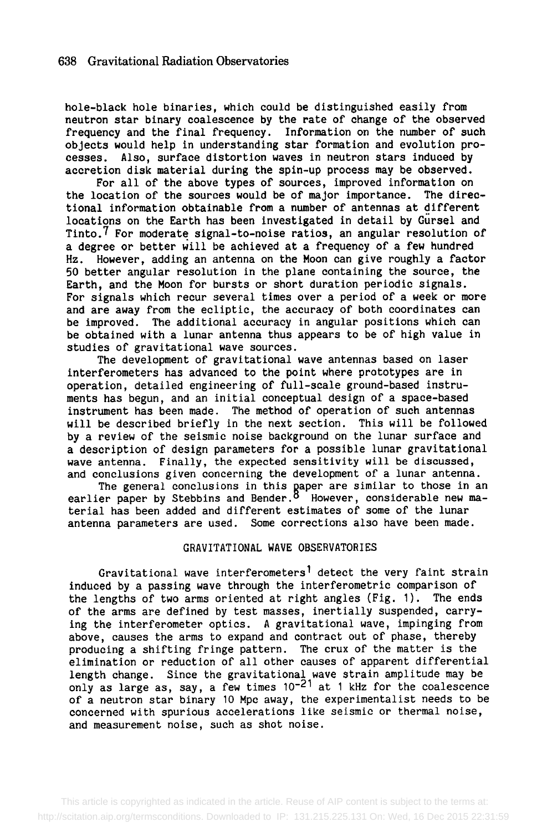hole-black hole binaries, which could be distinguished easily from neutron star binary coalescence by the rate of change of the observed frequency and the final frequency. Information on the number of such objects would help in understanding star formation and evolution processes. Also, surface distortion waves in neutron stars induced by accretion disk material during the spin-up process may be observed.

For all of the above types of sources, improved information on the location of the sources would be of major importance. The directional information obtainable from a number of antennas at different locations on the Earth has been investigated in detail by Gursel and Tinto.<sup>7</sup> For moderate signal-to-noise ratios, an angular resolution of a degree or better will be achieved at a frequency of a few hundred Hz. However, adding an antenna on the Moon can give roughly a factor 50 better angular resolution in the plane containing the source, the Earth, and the Moon for bursts or short duration periodic signals. For signals which recur several times over a period of a week or more and are away from the ecliptic, the accuracy of both coordinates can be improved. The additional accuracy in angular positions which can be obtained with a lunar antenna thus appears to be of high value in studies of gravitational wave sources.

The development of gravitational wave antennas based on laser interferometers has advanced to the point where prototypes are in operation, detailed engineering of full-scale ground-based instruments has begun, and an initial conceptual design of a space-based instrument has been made. The method of operation of such antennas will be described briefly in the next section. This will be followed by a review of the seismic noise background on the lunar surface and a description of design parameters for a possible lunar gravitational wave antenna. Finally, the expected sensitivity will be discussed, and conclusions given concerning the development of a lunar antenna.

The general conclusions in this paper are similar to those in an earlier paper by Stebbins and Bender.<sup>8</sup> However, considerable new material has been added and different estimates of some of the lunar antenna parameters are used. Some corrections also have been made.

#### GRAVITATIONAL WAVE OBSERVATORIES

Gravitational wave interferometers<sup>1</sup> detect the very faint strain induced by a passing wave through the interferometric comparison of the lengths of two arms oriented at right angles (Fig. I). The ends of the arms are defined by test masses, inertially suspended, carrying the interferometer optics. A gravitational wave, impinging from above, causes the arms to expand and contract out of phase, thereby producing a shifting fringe pattern. The crux of the matter is the elimination or reduction of all other causes of apparent differential length change. Since the gravitational wave strain amplitude may be only as large as, say, a few times  $10^{-21}$  at 1 kHz for the coalescence of a neutron star binary 10 Mpc away, the experimentalist needs to be concerned with spurious accelerations like seismic or thermal noise, and measurement noise, such as shot noise.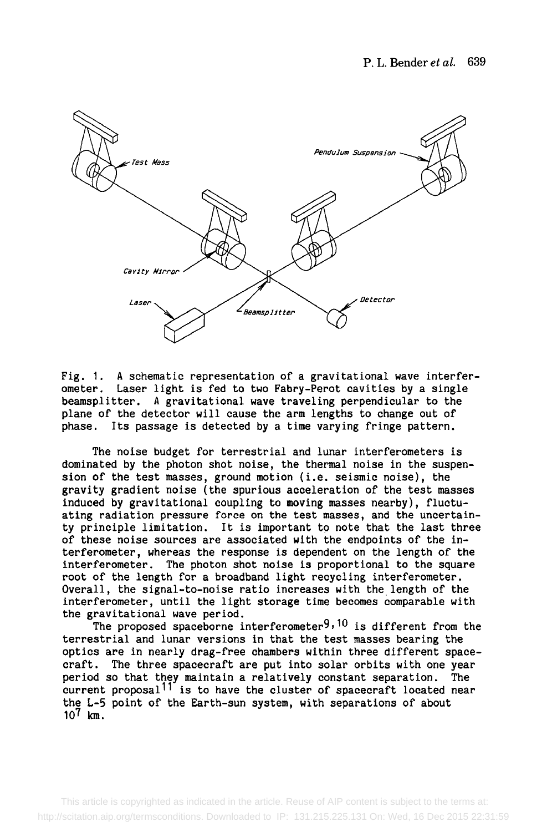

Fig. I. A schematic representation of a gravitational wave interferometer. Laser light is fed to two Fabry-Perot cavities by a single beamsplitter. A gravitational wave traveling perpendicular to the plane of the detector will cause the arm lengths to change out of phase. Its passage is detected by a time varying fringe pattern.

The noise budget for terrestrial and lunar interferometers is dominated by the photon shot noise, the thermal noise in the suspension of the test masses, ground motion {i.e. seismic noise), the gravity gradient noise (the spurious acceleration of the test masses induced by gravitational coupling to moving masses nearby), fluctuating radiation pressure force on the test masses, and the uncertainty principle limitation. It is important to note that the last three of these noise sources are associated wlth the endpoints of the interferometer, whereas the response is dependent on the length of the interferometer. The photon shot noise is proportional to the square root of the length for a broadband light recycling interferometer. Overall, the signal-to-noise ratio increases with the length of the interferometer, until the light storage time becomes comparable with the gravitational wave period.

The proposed spaceborne interferometer<sup>9,10</sup> is different from the terrestrial and lunar versions in that the test masses bearing the optics are in nearly drag-free chambers within three different spacecraft. The three spacecraft are put into solar orbits with one year period so that they maintain a relatively constant separation. The current proposal<sup>11</sup> is to have the cluster of spacecraft located near the L-5 point of the Earth-sun system, with separations of about  $10^7$  km.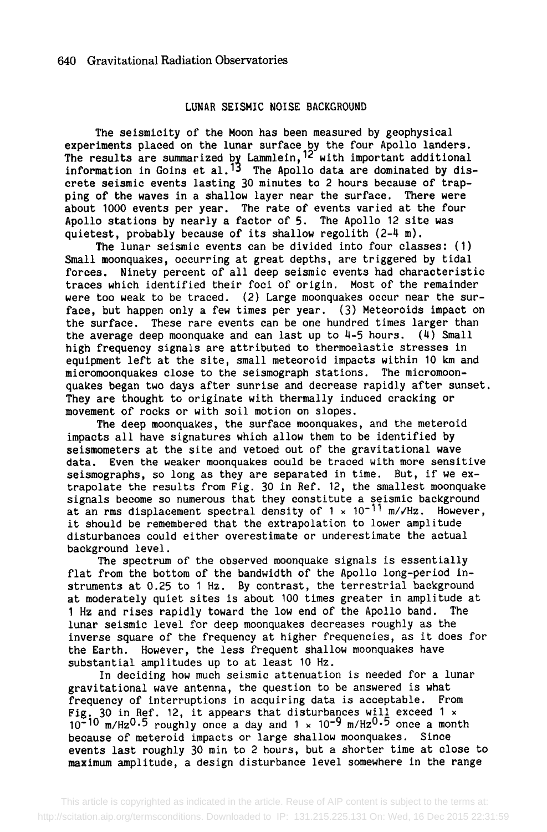### **LUNAR SEISMIC NOISE BACKGROUND**

The seismicity of the Moon has been measured by geophysical experiments placed on the lunar surface by the four Apollo landers. The results are summarized by Lammlein,  $12^{6}$  with important additional information in Goins et al.<sup>13</sup> The Apollo data are dominated by discrete seismic events lasting 30 minutes to 2 hours because of trapping of the waves in a shallow layer near the surface. There were about 1000 events per year. The rate of events varied at the four Apollo stations by nearly a factor of 5. The Apollo 12 site was quietest, probably because of its shallow regolith (2-4 m).

The lunar seismic events can be divided into four classes: (I) Small moonquakes, occurring at great depths, are triggered by tidal forces. Ninety percent of all deep seismic events had characteristic traces which identified their foci of origin. Most of the remainder were too weak to be traced. (2) Large moonquakes occur near the surface, but happen only a few times per year. (3) Meteoroids impact on the surface. These rare events can be one hundred times larger than the average deep moonquake and can last up to  $4-5$  hours.  $(4)$  Small high frequency signals are attributed to thermoelastic stresses in equipment left at the site, small meteoroid impacts within 10 km and micromoonquakes close to the seismograph stations. The micromoonquakes began two days after sunrise and decrease rapidly after sunset. They are thought to originate with thermally induced cracking or movement of rocks or with soil motion on slopes.

The deep moonquakes, the surface moonquakes, and the meteroid impacts all have signatures which allow them to be identified by seismometers at the site and vetoed out of the gravitational wave data. Even the weaker moonquakes could be traced with more sensitive seismographs, so long as they are separated in time. But, if we extrapolate the results from Fig. 30 in Ref. 12, the smallest moonquake signals become so numerous that they constitute a seismic background at an rms displacement spectral density of  $1 \times 10^{-11}$  m//Hz. However, it should be remembered that the extrapolation to lower amplitude disturbances could either overestimate or underestimate the actual background level.

The spectrum of the observed moonquake signals is essentially flat from the bottom of the bandwidth of the Apollo long-period instruments at 0.25 to I Hz. By contrast, the terrestrial background at moderately quiet sites is about 100 times greater in amplitude at I Hz and rises rapidly toward the low end of the Apollo band. The lunar seismic level for deep moonquakes decreases roughly as the inverse square of the frequency at higher frequencies, as it does for the Earth. However, the less frequent shallow moonquakes have substantial amplitudes up to at least 10 Hz.

In deciding how much seismic attenuation is needed for a lunar gravitational wave antenna, the question to be answered is what frequency of interruptions in acquiring data is acceptable. From Fig. 30 in Ref. 12, it appears that disturbances will exceed  $1 \times$  $10^{-10}$  m/Hz<sup>0.5</sup> roughly once a day and  $1 \times 10^{-9}$  m/Hz<sup>0.5</sup> once a month because of meteroid impacts or large shallow moonquakes. Since events last roughly 30 min to 2 hours, but a shorter time at close to maximum amplitude, a design disturbance level somewhere in the range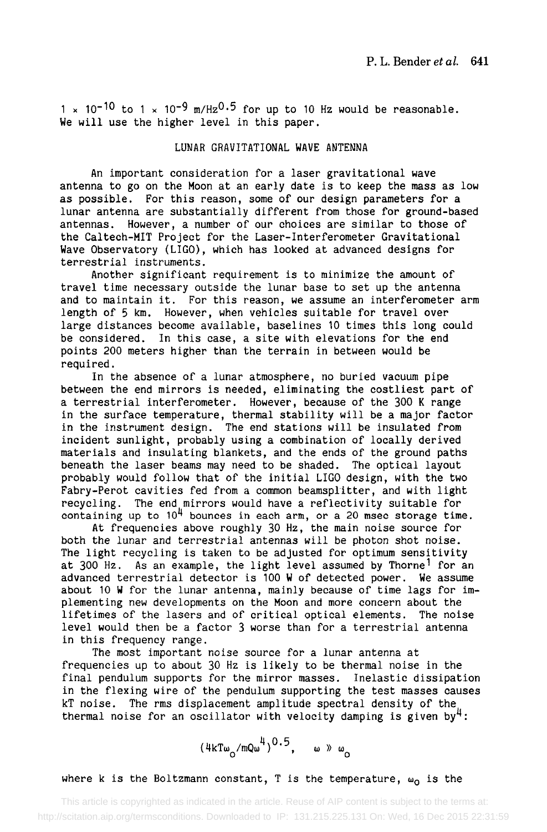$1 \times 10^{-10}$  to  $1 \times 10^{-9}$  m/Hz<sup>0.5</sup> for up to 10 Hz would be reasonable. We will use the higher level in this paper.

#### **LUNAR GRAVITATIONAL WAVE ANTENNA**

An important consideration for a laser gravitational wave antenna to go on the Moon at an early date is to keep the mass as low as possible. For this reason, some of our design parameters for a lunar antenna are substantially different from those for ground-based antennas. However, a number of our choices are similar to those of the Caltech-MIT Project for the Laser-lnterferometer Gravitational Wave Observatory (LIGO), which has looked at advanced designs for terrestrial instruments.

Another significant requirement is to minimize the amount of travel time necessary outside the lunar base to set up the antenna and to maintain it. For this reason, we assume an interferometer arm length of 5 km. However, when vehicles suitable for travel over large distances become available, baselines 10 times this long could be considered. In this case, a site with elevations for the end points 200 meters higher than the terrain in between would be required.

In the absence of a lunar atmosphere, no buried vacuum pipe between the end mirrors is needed, eliminating the costliest part of a terrestrial interferometer. However, because of the 300 K range in the surface temperature, thermal stability will be a major factor in the instrument design. The end stations will be insulated from incident sunlight, probably using a combination of locally derived materials and insulating blankets, and the ends of the ground paths beneath the laser beams may need to be shaded. The optical layout probably would follow that of the initial LIGO design, with the two Fabry-Perot cavities fed from a common beamsplitter, and with light recycling. The end mirrors would have a reflectivity suitable for containing up to  $10^4$  bounces in each arm, or a 20 msec storage time.

At frequencies above roughly 30 Hz, the main noise source for both the lunar and terrestrial antennas will be photon shot noise. The light recycling is taken to be adjusted for optimum sensitivity at 300 Hz. As an example, the light level assumed by Thorne<sup>1</sup> for an advanced terrestrial detector is 100 W of detected power. We assume about 10 W for the lunar antenna, mainly because of time lags for implementing new developments on the Moon and more concern about the lifetimes of the lasers and of critical optical elements. The noise level would then be a factor 3 worse than for a terrestrial antenna in this frequency range.

The most important noise source for a lunar antenna at frequencies up to about 30 Hz is likely to be thermal noise in the final pendulum supports for the mirror masses. Inelastic dissipation in the flexing wire of the pendulum supporting the test masses causes kT noise. The rms displacement amplitude spectral density of the thermal noise for an oscillator with velocity damping is given by<sup>4</sup>:

 $(4kT\omega_0/mQ\omega^4)^{0.5}$ ,  $\omega \gg \omega_0$ 

## where k is the Boltzmann constant, T is the temperature,  $\omega_0$  is the

 This article is copyrighted as indicated in the article. Reuse of AIP content is subject to the terms at: http://scitation.aip.org/termsconditions. Downloaded to IP: 131.215.225.131 On: Wed, 16 Dec 2015 22:31:59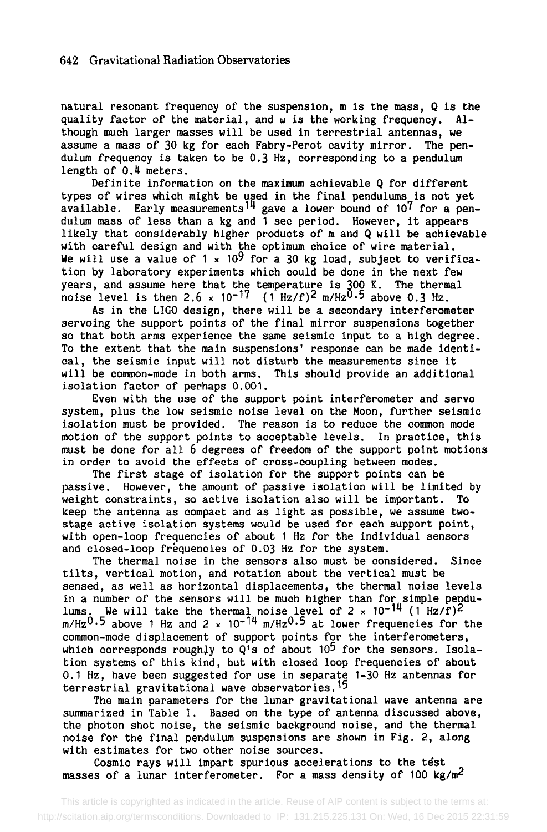natural resonant frequency of the suspension, m is the mass, Q is the quality factor of the material, and u is the working frequency. Although much larger masses will be used in terrestrial antennas, we assume a mass of 30 kg for each Fabry-Perot cavity mirror. The pendulum frequency is taken to be 0.3 Hz, corresponding to a pendulum length of 0.4 meters.

Definite information on the maximum achievable Q for different types of wires which might be used in the final pendulums is not yet available. Early measurements  $14$  gave a lower bound of  $10<sup>7</sup>$  for a pendulum mass of less than a kg and I see period. However, it appears likely that considerably higher products of m and Q will be achievable with careful design and with the optimum choice of wire material. We will use a value of  $1 \times 10^9$  for a 30 kg load, subject to verification by laboratory experiments which could be done in the next few years, and assume here that the temperature is 300 K. The thermal noise level is then  $2.6 \times 10^{-17}$  (1 Hz/f)<sup>2</sup> m/Hz<sup>0.5</sup> above 0.3 Hz.

As in the LIGO design, there will be a secondary interferometer servoing the support points of the final mirror suspensions together so that both arms experience the same seismic input to a high degree. To the extent that the main suspensions' response can be made identical, the seismic input will not disturb the measurements since it will be common-mode in both arms. This should provide an additional isolation factor of perhaps 0.001.

Even with the use of the support point interferometer and servo system, plus the low seismic noise level on the Moon, further seismic isolation must be provided. The reason is to reduce the common mode motion of the support points to acceptable levels. In practice, this must be done for all 6 degrees of freedom of the support point motions in order to avoid the effects of cross-coupling between modes.

The first stage of isolation for the support points can be passive. However, the amount of passive isolation will be limited by weight constraints, so active isolation also will be important. To keep the antenna as compact and as light as possible, we assume twostage active isolation systems would be used for each support point, with open-loop frequencies of about I Hz for the individual sensors and closed-loop frequencies of 0.03 Hz for the system.

The thermal noise in the sensors also must be considered. Since tilts, vertical motion, and rotation about the vertical must be sensed, as well as horizontal displacements, the thermal noise levels in a number of the sensors will be much higher than for simple pendulums. We will take the thermal noise level of 2 x 10<sup>-14</sup> (1 Hz/f)<sup>2</sup>  $m/Hz^{0.5}$  above 1 Hz and 2 x 10<sup>-14</sup> m/Hz<sup>0.5</sup> at lower frequencies for the common-mode displacement of support points for the interferometers, which corresponds roughly to Q's of about  $10^5$  for the sensors. Isolation systems of this kind, but with closed loop frequencies of about 0.1Hz, have been suggested for use in separate 1-30 Hz antennas for terrestrial gravitational wave observatories. 15

The main parameters for the lunar gravitational wave antenna are summarized in Table I. Based on the type of antenna discussed above, the photon shot noise, the seismic background noise, and the thermal noise for the final pendulum suspensions are shown in Fig. 2, along with estimates for two other noise sources.

Cosmic rays will impart spurious accelerations to the test masses of a lunar interferometer. For a mass density of 100 kg/m<sup>2</sup>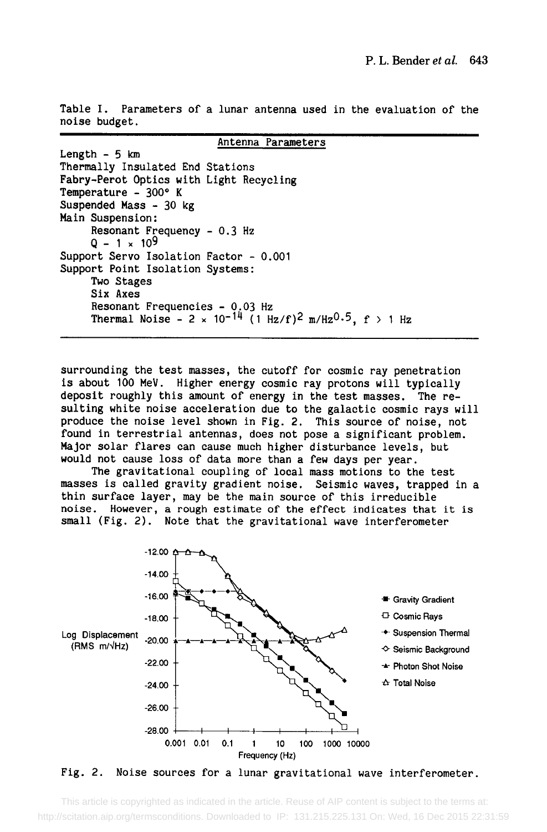Table I. Parameters of a lunar antenna used in the evaluation of the noise budget.

| Antenna Parameters                                                                       |
|------------------------------------------------------------------------------------------|
| Length $-5$ km                                                                           |
| Thermally Insulated End Stations                                                         |
| Fabry-Perot Optics with Light Recycling                                                  |
| Temperature - 300° K                                                                     |
| Suspended Mass - 30 kg                                                                   |
| Main Suspension:                                                                         |
| Resonant Frequency - $0.3$ Hz                                                            |
| $0 - 1 \times 10^{9}$                                                                    |
| Support Servo Isolation Factor - 0.001                                                   |
| Support Point Isolation Systems:                                                         |
| Two Stages                                                                               |
| Six Axes                                                                                 |
| Resonant Frequencies - $0.03$ Hz                                                         |
| Thermal Noise - $2 \times 10^{-14}$ (1 Hz/f) <sup>2</sup> m/Hz <sup>0.5</sup> , f > 1 Hz |

surrounding the test masses, the cutoff for cosmic ray penetration is about 100 MeV. Higher energy cosmic ray protons will typically deposit roughly this amount of energy in the test masses. The resulting white noise acceleration due to the galactic cosmic rays will produce the noise level shown in Fig. 2. This source of noise, not found in terrestrial antennas, does not pose a significant problem. Major solar flares can cause much higher disturbance levels, but would not cause loss of data more than a few days per year.

The gravitational coupling of local mass motions to the test masses is called gravity gradient noise. Seismic waves, trapped in a thin surface layer, may be the main source of this irreducible noise. However, a rough estimate of the effect indicates that it is small (Fig. 2). Note that the gravitational wave interferometer





 This article is copyrighted as indicated in the article. Reuse of AIP content is subject to the terms at: http://scitation.aip.org/termsconditions. Downloaded to IP: 131.215.225.131 On: Wed, 16 Dec 2015 22:31:59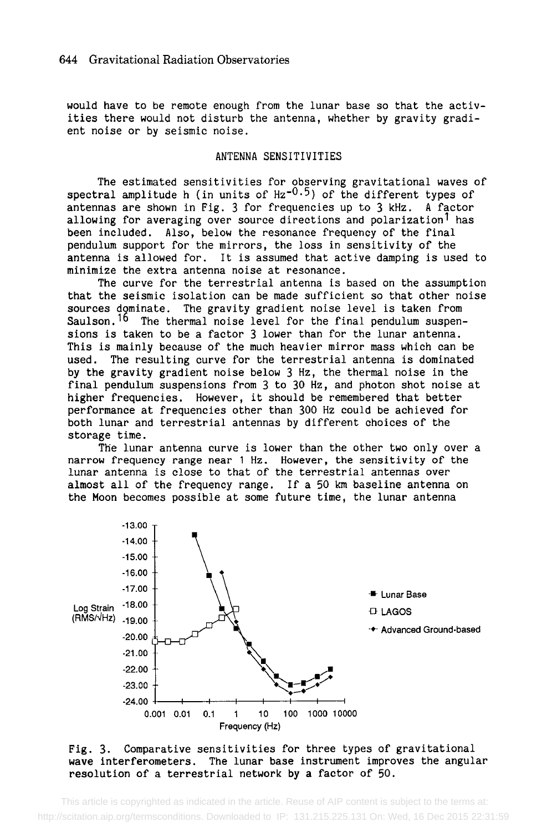would have to be remote enough from the lunar base so that the activities there would not disturb the antenna, whether by gravity gradient noise or by seismic noise.

#### ANTENNA SENSITIVITIES

The estimated sensitivities for observing gravitational waves of spectral amplitude h (in units of  $Hz^{-0.5}$ ) of the different types of antennas are shown in Fig. 3 for frequencies up to 3 kHz. A factor allowing for averaging over source directions and polarization<sup>1</sup> has been included. Also, below the resonance frequency of the final pendulum support for the mirrors, the loss in sensitivity of the antenna is allowed for. It is assumed that active damping is used to minimize the extra antenna noise at resonance.

The curve for the terrestrial antenna is based on the assumption that the seismic isolation can be made sufficient so that other noise sources dgminate. The gravity gradient noise level is taken from Saulson.<sup>16</sup> The thermal noise level for the final pendulum suspensions is taken to be a factor 3 lower than for the lunar antenna. This is mainly because of the much heavier mirror mass which can be used. The resulting curve for the terrestrial antenna is dominated by the gravity gradient noise below 3 Hz, the thermal noise in the final pendulum suspensions from 3 to 30 Hz, and photon shot noise at higher frequencies. However, it should be remembered that better performance at frequencies other than 300 Hz could be achieved for both lunar and terrestrial antennas by different choices of the storage time.

The lunar antenna curve is lower than the other two only over a narrow frequency range near I Hz. However, the sensitivity of the lunar antenna is close to that of the terrestrial antennas over almost all of the frequency range. If a 50 km baseline antenna on the Moon becomes possible at some future time, the lunar antenna



Fig. 3. Comparative sensitivities for three types of gravitational wave interferometers. The lunar base instrument improves the angular resolution of a terrestrial network by a factor of 50.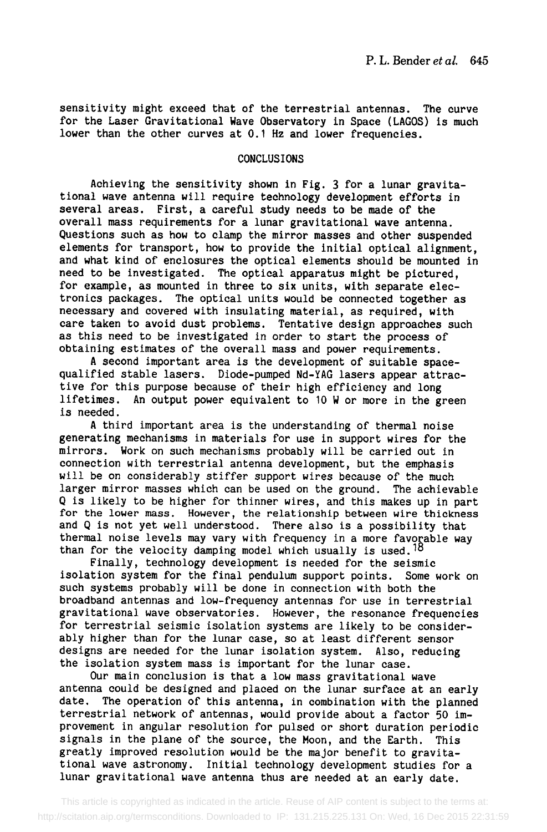sensitivity might exceed that of the terrestrial antennas. The curve for the Laser Gravitational Wave Observatory in Space (LAGOS) is much lower than the other curves at 0.1 Hz and lower frequencies.

#### CONCLUSIONS

Achieving the sensitivity shown in Fig. 3 for a lunar gravitational wave antenna will require technology development efforts in several areas. First, a careful study needs to be made of the overall mass requirements for a lunar gravitational wave antenna. Questions such as how to clamp the mirror masses and other suspended elements for transport, how to provide the initial optical alignment, and what kind of enclosures the optical elements should be mounted in need to be investigated. The optical apparatus might be pictured, for example, as mounted in three to six units, with separate electronics packages. The optical units would be connected together as necessary and covered with insulating material, as required, with care taken to avoid dust problems. Tentative design approaches such as this need to be investigated in order to start the process of obtaining estimates of the overall mass and power requirements.

A second important area is the development of suitable spacequalified stable lasers. Diode-pumped Nd-YAG lasers appear attractive for this purpose because of their high efficiency and long lifetimes. An output power equivalent to 10 W or more in the green is needed.

A third important area is the understanding of thermal noise generating mechanisms in materials for use in support wires for the mirrors. Work on such mechanisms probably will be carried out in connection with terrestrial antenna development, but the emphasis will be on considerably stiffer support wires because of the much larger mirror masses which can be used on the ground. The achievable Q is likely to be higher for thinner wires, and this makes up in part for the lower mass. However, the relationship between wire thickness and Q is not yet well understood. There also is a possibility that thermal noise levels may vary with frequency in a more favorable way than for the velocity damping model which usually is used.  $18$ 

Finally, technology development is needed for the seismic isolation system for the final pendulum support points. Some work on such systems probably will be done in connection with both the broadband antennas and low-frequency antennas for use in terrestrial gravitational wave observatories. However, the resonance frequencies for terrestrial seismic isolation systems are likely to be considerably higher than for the lunar case, so at least different sensor designs are needed for the lunar isolation system. Also, reducing the isolation system mass is important for the lunar case.

Our main conclusion is that a low mass gravitational wave antenna could be designed and placed on the lunar surface at an early date. The operation of this antenna, in combination with the planned terrestrial network of antennas, would provide about a factor 50 improvement in angular resolution for pulsed or short duration periodic signals in the plane of the source, the Moon, and the Earth. This greatly improved resolution would be the major benefit to gravitational wave astronomy. Initial technology development studies for a lunar gravitational wave antenna thus are needed at an early date.